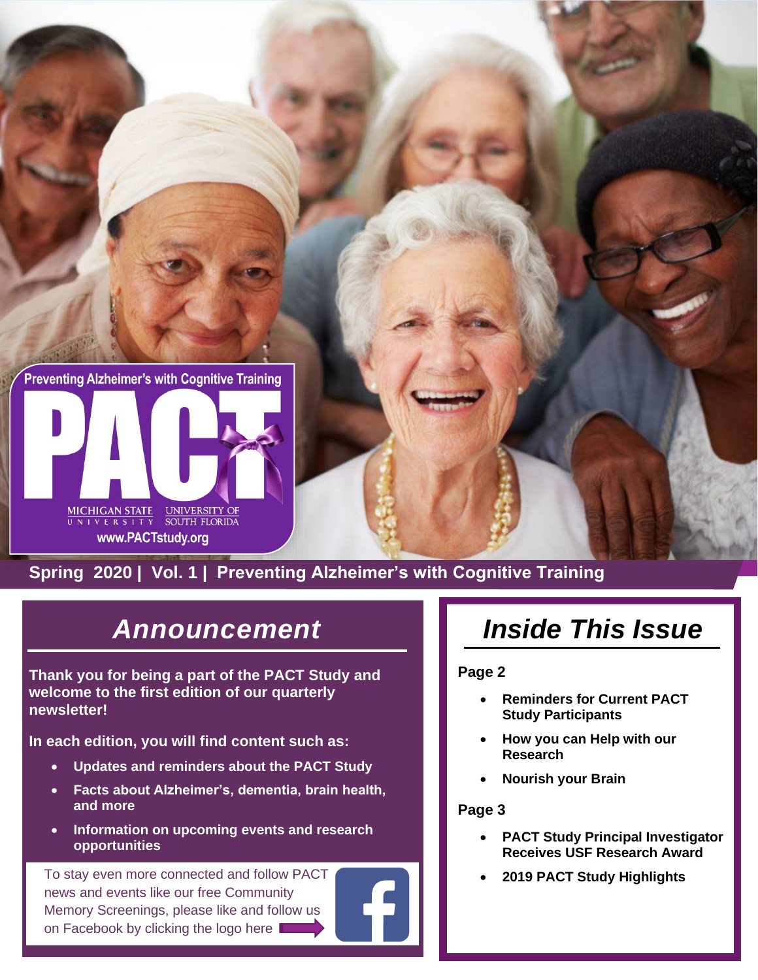



#### **Spring 2020 | Vol. 1 [| Preventing A](https://pactstudy.org/)lzheimer's with Cognitive Training**

## *Announcement*

**Thank you for being a part of the PACT Study and welcome to the first edition of our quarterly newsletter!**

**In each edition, you will find content such as:**

- **Updates and reminders about the PACT Study**
- **Facts about Alzheimer's, dementia, brain health, and more**
- **Information on upcoming events and research opportunities**

To stay even more connected and follow PA[CT](https://www.facebook.com/USFPACT/) **1999 COLL 2019 PACT Study Highlights** news and events like our free Community Memory Screenings, please like and follow us on Facebook by clicking the logo here

# *Inside This Issue*

#### **Page 2**

- **Reminders for Current PACT Study Participants**
- **How you can Help with our Research**
- **Nourish your Brain**

#### **Page 3**

- **PACT Study Principal Investigator Receives USF Research Award**
-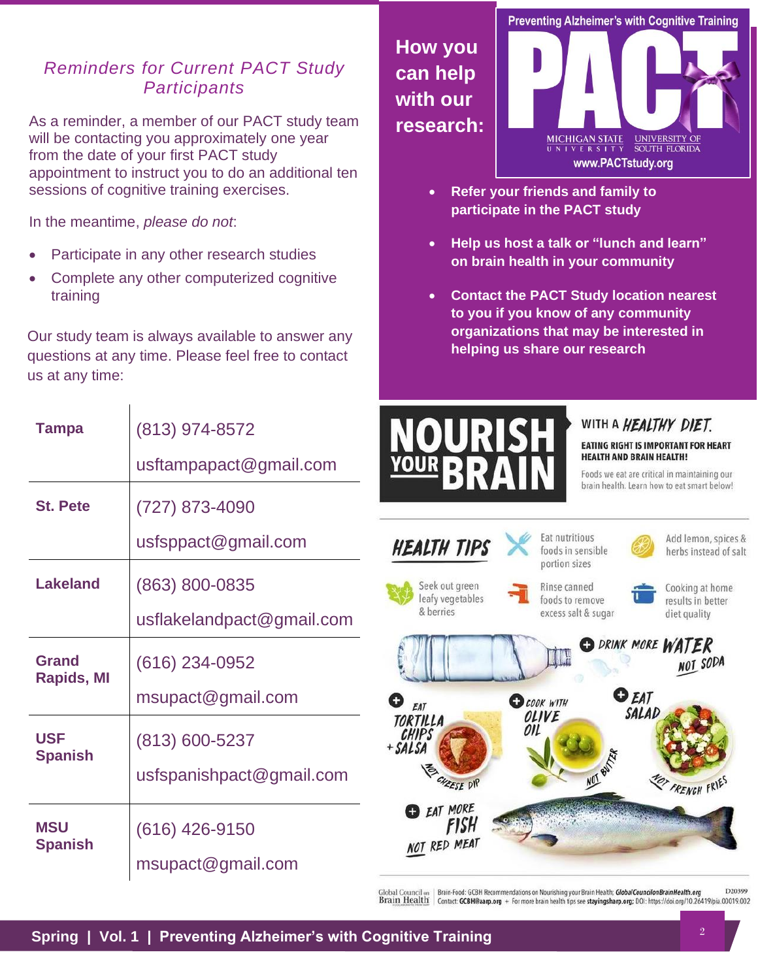#### *Reminders for Current PACT Study Participants*

As a reminder, a member of our PACT study team will be contacting you approximately one year from the date of your first PACT study appointment to instruct you to do an additional ten sessions of cognitive training exercises.

In the meantime, *please do not*:

**Tampa** (813) 974-8572

- Participate in any other research studies
- Complete any other computerized cognitive training

Our study team is always available to answer any questions at any time. Please feel free to contact us at any time:

usftampapact@gmail.com

**Preventing Alzheimer's with Cognitive Training**  $\underbrace{\text{MICHIGAN STATE}}_{\text{U~N~I~V~E~R~S~I~T~Y}} \quad \underbrace{\text{UNIVERSITY OF}}_{\text{SOUTH FLORIDA}}$ www.PACTstudy.org

- **Refer your friends and family to participate in the PACT study**
- **Help us host a talk or "lunch and learn" on brain health in your community**
- **Contact the PACT Study location nearest to you if you know of any community organizations that may be interested in helping us share our research**



**How you** 

**can help with our** 

**research:**

#### WITH A *HEALTHY DIET*.

**EATING RIGHT IS IMPORTANT FOR HEART HEALTH AND BRAIN HEALTH!** 

|                                   | s                                           | "BRAIN                                                |                                                        | Foods we eat are critical in maintaining our          |
|-----------------------------------|---------------------------------------------|-------------------------------------------------------|--------------------------------------------------------|-------------------------------------------------------|
| <b>St. Pete</b>                   | (727) 873-4090                              |                                                       |                                                        | brain health. Learn how to eat smart below!           |
|                                   | usfsppact@gmail.com                         | <b>HEALTH TIPS</b>                                    | Eat nutritious<br>foods in sensible<br>portion sizes   | Add lemon, spices &<br>herbs instead of salt          |
| <b>Lakeland</b>                   | (863) 800-0835<br>usflakelandpact@gmail.com | Seek out green<br>leafy vegetables<br>& berries       | Rinse canned<br>foods to remove<br>excess salt & sugar | Cooking at home<br>results in better<br>diet quality  |
| <b>Grand</b><br><b>Rapids, MI</b> | (616) 234-0952<br>msupact@gmail.com         | O<br>EAT                                              | <b>OCOOK WITH</b>                                      | <b>O DRINK MORE WATER</b><br>NOT SODA<br><b>O</b> EAT |
| <b>USF</b><br><b>Spanish</b>      | (813) 600-5237<br>usfspanishpact@gmail.com  | TORTILLA<br>CHIPS<br>+ SALSA<br>唇<br><b>HEESE DIP</b> | OLIVE<br>on<br>NOT BUT AT                              | SALAD<br>FRENCH FRIE                                  |
| <b>MSU</b><br><b>Spanish</b>      | (616) 426-9150<br>msupact@gmail.com         | EAT MORE<br>fish<br>NOT RED MEAT                      |                                                        |                                                       |

Global Council on Brain-Food: GCBH Recommendations on Nourishing your Brain Health; GlobalCouncilonBrainHealth.org D20399 Contact: GCBH@aarp.org + For more brain health tips see stayingsharp.org; DOI: https://doi.org/10.26419/pia.00019.002